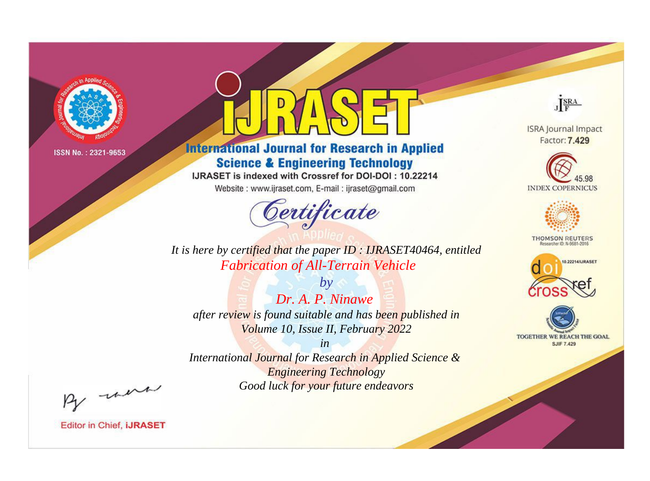

# **International Journal for Research in Applied Science & Engineering Technology**

IJRASET is indexed with Crossref for DOI-DOI: 10.22214

Website: www.ijraset.com, E-mail: ijraset@gmail.com



JERA

**ISRA Journal Impact** Factor: 7.429





**THOMSON REUTERS** 



TOGETHER WE REACH THE GOAL **SJIF 7.429** 

It is here by certified that the paper ID: IJRASET40464, entitled **Fabrication of All-Terrain Vehicle** 

Dr. A. P. Ninawe after review is found suitable and has been published in Volume 10, Issue II, February 2022

 $b\nu$ 

 $in$ International Journal for Research in Applied Science & **Engineering Technology** Good luck for your future endeavors

By morn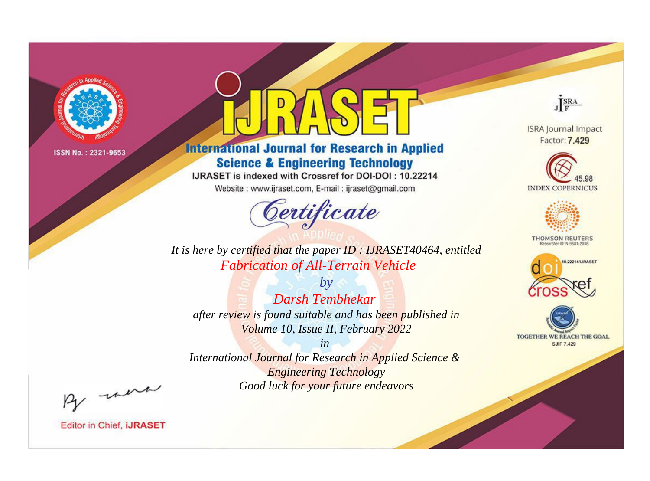

# **International Journal for Research in Applied Science & Engineering Technology**

IJRASET is indexed with Crossref for DOI-DOI: 10.22214

Website: www.ijraset.com, E-mail: ijraset@gmail.com



JERA

**ISRA Journal Impact** Factor: 7.429





**THOMSON REUTERS** 



TOGETHER WE REACH THE GOAL **SJIF 7.429** 

It is here by certified that the paper ID: IJRASET40464, entitled **Fabrication of All-Terrain Vehicle** 

**Darsh Tembhekar** after review is found suitable and has been published in Volume 10, Issue II, February 2022

 $b\nu$ 

 $in$ International Journal for Research in Applied Science & **Engineering Technology** Good luck for your future endeavors

By morn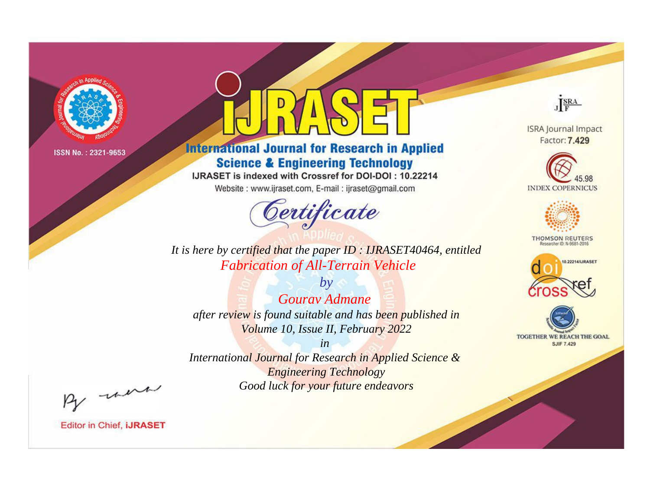

# **International Journal for Research in Applied Science & Engineering Technology**

IJRASET is indexed with Crossref for DOI-DOI: 10.22214

Website: www.ijraset.com, E-mail: ijraset@gmail.com



JERA

**ISRA Journal Impact** Factor: 7.429





**THOMSON REUTERS** 



TOGETHER WE REACH THE GOAL **SJIF 7.429** 

It is here by certified that the paper ID: IJRASET40464, entitled **Fabrication of All-Terrain Vehicle** 

 $b\nu$ Gouray Admane after review is found suitable and has been published in Volume 10, Issue II, February 2022

 $in$ International Journal for Research in Applied Science & **Engineering Technology** Good luck for your future endeavors

By morn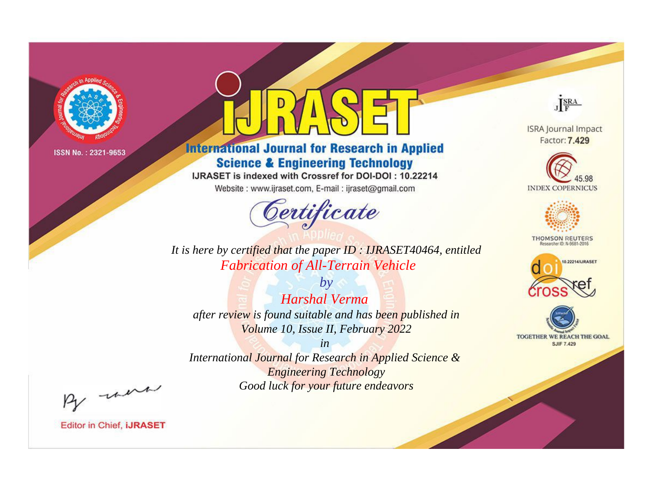

# **International Journal for Research in Applied Science & Engineering Technology**

IJRASET is indexed with Crossref for DOI-DOI: 10.22214

Website: www.ijraset.com, E-mail: ijraset@gmail.com



JERA

**ISRA Journal Impact** Factor: 7.429





**THOMSON REUTERS** 



TOGETHER WE REACH THE GOAL **SJIF 7.429** 

It is here by certified that the paper ID: IJRASET40464, entitled **Fabrication of All-Terrain Vehicle** 

 $b\nu$ **Harshal Verma** after review is found suitable and has been published in Volume 10, Issue II, February 2022

 $in$ International Journal for Research in Applied Science & **Engineering Technology** Good luck for your future endeavors

By morn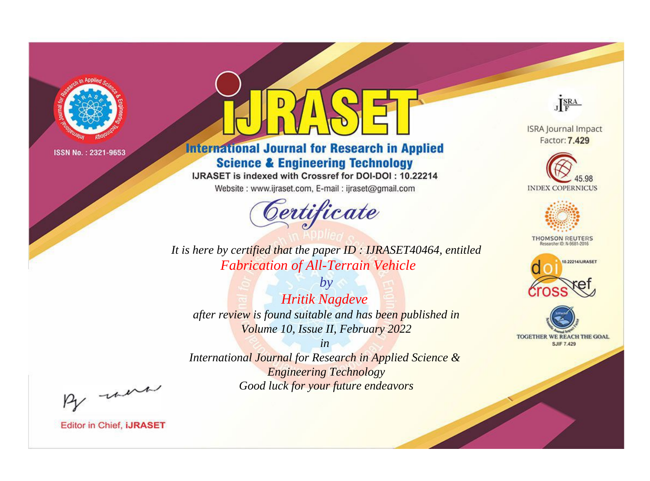

# **International Journal for Research in Applied Science & Engineering Technology**

IJRASET is indexed with Crossref for DOI-DOI: 10.22214

Website: www.ijraset.com, E-mail: ijraset@gmail.com



JERA

**ISRA Journal Impact** Factor: 7.429





**THOMSON REUTERS** 



TOGETHER WE REACH THE GOAL **SJIF 7.429** 

It is here by certified that the paper ID: IJRASET40464, entitled **Fabrication of All-Terrain Vehicle** 

 $by$ **Hritik Nagdeve** after review is found suitable and has been published in Volume 10, Issue II, February 2022

 $in$ International Journal for Research in Applied Science & **Engineering Technology** Good luck for your future endeavors

By morn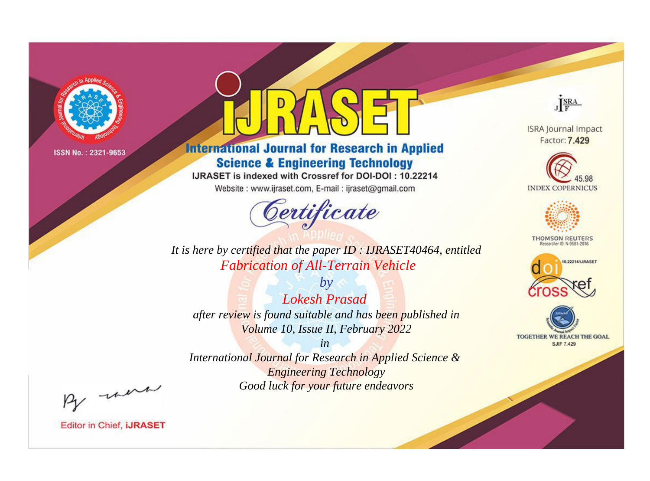

# **International Journal for Research in Applied Science & Engineering Technology**

IJRASET is indexed with Crossref for DOI-DOI: 10.22214

Website: www.ijraset.com, E-mail: ijraset@gmail.com



JERA

**ISRA Journal Impact** Factor: 7.429





**THOMSON REUTERS** 



TOGETHER WE REACH THE GOAL **SJIF 7.429** 

It is here by certified that the paper ID: IJRASET40464, entitled **Fabrication of All-Terrain Vehicle** 

 $b\nu$ **Lokesh Prasad** after review is found suitable and has been published in Volume 10, Issue II, February 2022

 $in$ International Journal for Research in Applied Science & **Engineering Technology** Good luck for your future endeavors

By morn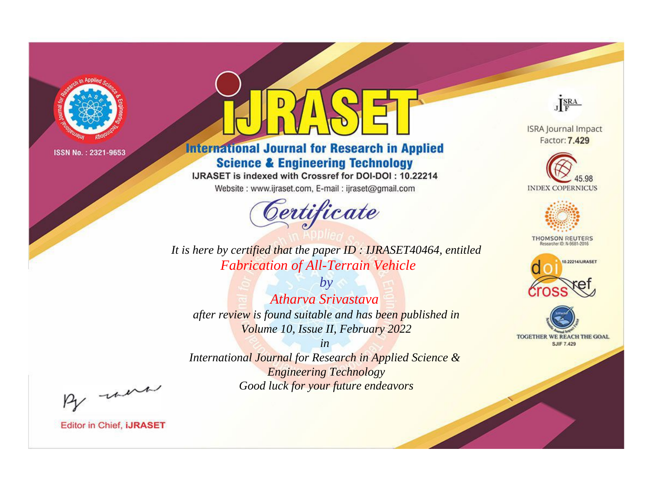

# **International Journal for Research in Applied Science & Engineering Technology**

IJRASET is indexed with Crossref for DOI-DOI: 10.22214

Website: www.ijraset.com, E-mail: ijraset@gmail.com



JERA

**ISRA Journal Impact** Factor: 7.429





**THOMSON REUTERS** 



TOGETHER WE REACH THE GOAL **SJIF 7.429** 

It is here by certified that the paper ID: IJRASET40464, entitled **Fabrication of All-Terrain Vehicle** 

 $b\nu$ Atharva Srivastava after review is found suitable and has been published in Volume 10, Issue II, February 2022

 $in$ International Journal for Research in Applied Science & **Engineering Technology** Good luck for your future endeavors

By morn